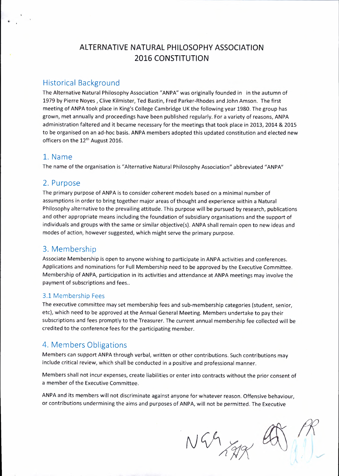# Historical Background

The Alternative Natural Philosophy Association **"ANPA"** was originally founded in in the autumn of 1979 by Pierre Noyes, Clive Kilmister, Ted Bastin, Fred Parker-Rhodes and John Amson. The first meeting of ANPA took place in King's College Cambridge UK the following year 1980. The group has grown, met annually and proceedings have been published regularly. For a variety of reasons, ANPA administration faltered and it became necessary for the meetings that took place in 2013, 2014 & 2015 to be organised on an ad-hoe basis. **ANPA** members adopted this updated constitution and elected new officers on the 12<sup>th</sup> August 2016.

## 1. Name

The name of the organisation is "Alternative Natural Philosophy Association" abbreviated **"ANPA"** 

## 2. Purpose

The primary purpose of **ANPA** is to consider coherent models based on a minimal number of assumptions in order to bring together major areas of thought and experience within a Natural Philosophy alternative to the prevailing attitude. This purpose will be pursued by research, publications and other appropriate means including the foundation of subsidiary organisations and the support of individuals and groups with the same or similar objective(s). ANPA shall remain open to new ideas and modes of action, however suggested, which might serve the primary purpose.

# 3. Membership

Associate Membership is open to anyone wishing to participate in ANPA activities and conferences. Applications and nominations for Full Membership need to be approved by the Executive Committee. Membership of **ANPA,** participation in its activities and attendance at **ANPA** meetings may involve the payment of subscriptions and fees..

## 3.1 Membership Fees

The executive committee may set membership fees and sub-membership categories (student, senior, etc), which need to be approved at the Annual General Meeting. Members undertake to pay their subscriptions and fees promptly to the Treasurer. The current annual membership fee collected will be credited to the conference fees for the participating member.

# 4. Members Obligations

Members can support **ANPA** through verbal, written or other contributions. Such contributions may include critical review, which shall be conducted in a positive and professional manner.

Members shall not incur expenses, create liabilities or enter into contracts without the prior consent of a member of the Executive Committee.

ANPA and its members will not discriminate against anyone for whatever reason. Offensive behaviour, or contributions undermining the aims and purposes of ANPA, will not be permitted. The Executive

NGAJAR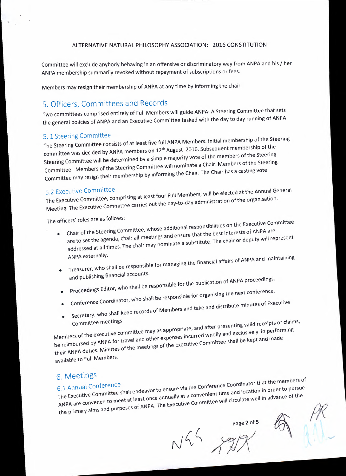Committee will exclude anybody behaving in an offensive or discriminatory way from ANPA and his / her ANPA membership summarily revoked without repayment of subscriptions or fees.

Members may resign their membership of ANPA at any time by informing the chair.

# 5. Officers, Committees and Records

Two committees comprised entirely of Full Members will guide ANPA: A Steering Committee that sets the general policies of ANPA and an Executive Committee tasked with the day to day running of ANPA.

# 5. 1 Steering Committee

The Steering Committee consists of at least five full ANPA Members. Initial membership of the Steering rne steering committee. Steering Committee will be determined by a simple majority vote of the members of the Steering Committee. Members of the Steering Committee will nominate a Chair. Members of the Steering Committee may resign their membership by informing the Chair. The Chair has a casting vote.

5.2 Executive Committee<br>The Executive Committee, comprising at least four Full Members, will be elected at the Annual General Meeting. The Executive Committee carries out the day-to-day administration of the organisation.

The officers' roles are as follows:

- Chair of the Steering Committee, whose additional responsibilities on the Executive Committee are to set the agenda, chair all meetings and ensure that the best interests of ANPA are addressed at all times. The chair may nominate a substitute. The chair or deputy will represent ANPA externally.
- I substitute responsible for managing the financial affairs of ANPA and maintaining and publishing financial accounts.
- Proceedings Editor, who shall be responsible for the publication of ANPA proceedings.
- •
- Conference Coordinator, who shall be responsible for organising the next conference.
- Secretary, who show Secretary, who shall keep records of Members and take and distribute minutes of Executive

Committee may as appropriate, and after presenting valid receipts or committee may as appropriate, and after presenting value receipts or committee may as appropriate, and after presenting Members of the executive committee the  $\ell$  performance incurred wholly and exclusively in performance incurred wholly and exclusively in performance. be reimbursed by ANPA for travel and other expenses incurred wholly and exclusively in performing<br>their ANPA duties. Minutes of the meetings of the Executive Committee shall be kept and made available to Full Members.

6. Meetings 6.1 Annual Conference<br>**The Executive Conference Shall endeavor to ensure via the Conference Coordinator that the members of** The Executive Committee shall chase. The annually at a convenient time and location in advance of the ANPA are convened to meet at least once annually at a convenient time and location in order to pursue<br>the primary aims and purposes of ANPA. The Executive Committee will circulate well in advance of the

 $N44 \times 12$ 

Page 2 of 5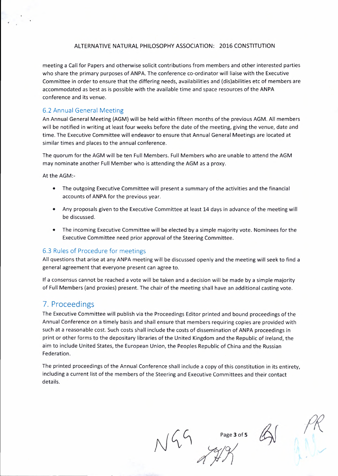meeting a Call for Papers and otherwise solicit contributions from members and other interested parties who share the primary purposes of ANPA. The conference co-ordinator will liaise with the Executive Committee in order to ensure that the differing needs, availabilities and (dis)abilities etc of members are accommodated as best as is possible with the available time and space resources of the ANPA conference and its venue.

### 6.2 Annual General Meeting

An Annual General Meeting (AGM) will be held within fifteen months of the previous AGM. All members will be notified in writing at least four weeks before the date of the meeting, giving the venue, date and time. The Executive Committee will endeavor to ensure that Annual General Meetings are located at similar times and places to the annual conference.

The quorum for the AGM will be ten Full Members. Full Members who are unable to attend the AGM may nominate another Full Member who is attending the AGM as a proxy.

At the AGM:-

- The outgoing Executive Committee will present a summary of the activities and the financial accounts of **ANPA** for the previous year.
- Any proposals given to the Executive Committee at least 14 days in advance of the meeting will be discussed.
- The incoming Executive Committee will be elected by a simple majority vote. Nominees for the Executive Committee need prior approval of the Steering Committee.

#### 6.3 Rules of Procedure for meetings

All questions that arise at any **ANPA** meeting will be discussed openly and the meeting will seek to find a general agreement that everyone present can agree to.

If a consensus cannot be reached a vote will be taken and a decision will be made by a simple majority of Full Members (and proxies) present. The chair of the meeting shall have an additional casting vote.

# 7. Proceedings

The Executive Committee will publish via the Proceedings Editor printed and bound proceedings of the Annual Conference on a timely basis and shall ensure that members requiring copies are provided with such at a reasonable cost. Such costs shall include the costs of dissemination of ANPA proceedings in print or other forms to the depositary libraries of the United Kingdom and the Republic of Ireland, the aim to include United States, the European Union, the Peoples Republic of China and the Russian Federation.

The printed proceedings of the Annual Conference shall include a copy of this constitution in its entirety, including a current list of the members of the Steering and Executive Committees and their contact details.

 $N/49$   $Page3 of 5$   $M$ 

Page 3 of 5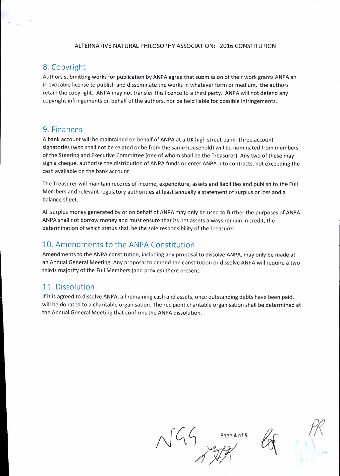# 8. Copyright

Authors submitting works for publication by ANPA agree that submission of their work grants ANPA an irrevocable license to publish and disseminate the works in whatever form or medium, the authors retain the copyright. ANPA may not transfer this licence to a third party. ANPA will not defend any copyright infringements on behalf of the authors, nor be held liable for possible infringements.

## 9. Finances

A bank account will be maintained on behalf of ANPA at a UK high street bank. Three account signatories (who shall not be related or be from the same household) will be nominated from members of the Steering and Executive Committee (one of whom shall be the Treasurer). Any two of these may sign a cheque, authorise the distribution of **ANPA** funds or enter **ANPA** into contracts, not exceeding the cash available on the bank account.

The Treasurer will maintain records of income, expenditure, assets and liabilities and publish to the Full Members and relevant regulatory authorities at least annually a statement of surplus or loss and a balance sheet.

All surplus money generated by or on behalf of ANPA may only be used to further the purposes of ANPA. ANPA shall not borrow money and must ensure that its net assets always remain in credit, the determination of which status shall be the sole responsibility of the Treasurer.

# 10. Amendments to the ANPA Constitution

Amendments to the ANPA constitution, including any proposal to dissolve ANPA, may only be made at an Annual General Meeting. Any proposal to amend the constitution or dissolve ANPA will require a two thirds majority of the Full Members (and proxies) there present.

## 11. Dissolution

If it is agreed to dissolve **ANPA,** all remaining cash and assets, once outstanding debts have been paid, will be donated to a charitable organisation. The recipient charitable organisation shall be determined at the Annual General Meeting that confirms the **ANPA** dissolution.

 $R\sqrt{G\cdot G}$  Page 4 of 5 Page 4 of 5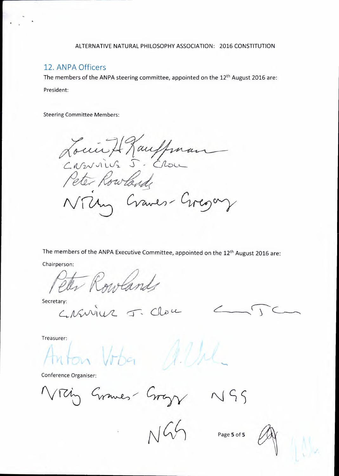# 12. ANPA Officers

The members of the ANPA steering committee, appointed on the 12<sup>th</sup> August 2016 are: President:

Steering Committee Members:

Louis Hauffman Peter Rowland NTUm Craves-Gregory

The members of the ANPA Executive Committee, appointed on the 12<sup>th</sup> August 2016 are:

Chairperson:

Peter Rowlands

Secretary:<br>CASWILL J. Clou

 $272$ 

Treasurer:

on Vober

Conference Organiser:

Nrzing Graves Gragy NSS

Page **5** of **5**